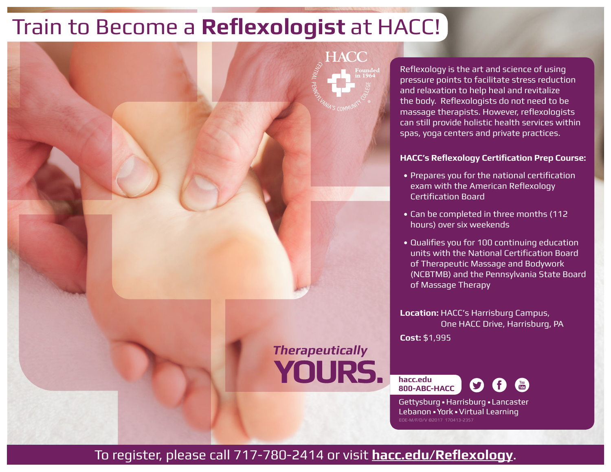## Train to Become a **Reflexologist** at HACC!

**Therapeutically YOURS.** 

HACC

Reflexology is the art and science of using pressure points to facilitate stress reduction and relaxation to help heal and revitalize the body. Reflexologists do not need to be massage therapists. However, reflexologists can still provide holistic health services within spas, yoga centers and private practices.

## **HACC's Reflexology Certification Prep Course:**

- Prepares you for the national certification exam with the American Reflexology Certification Board
- Can be completed in three months (112 hours) over six weekends
- Qualifies you for 100 continuing education units with the National Certification Board of Therapeutic Massage and Bodywork (NCBTMB) and the Pennsylvania State Board of Massage Therapy

**Location:** HACC's Harrisburg Campus, One HACC Drive, Harrisburg, PA **Cost:** \$1,995

**hacc.edu 800-ABC-HACC**



Gettysburg • Harrisburg • Lancaster Lebanon • York • Virtual Learning EOE-M/F/D/V ©2017 170413-2357

To register, please call 717-780-2414 or visit **hacc.edu/Reflexology**.